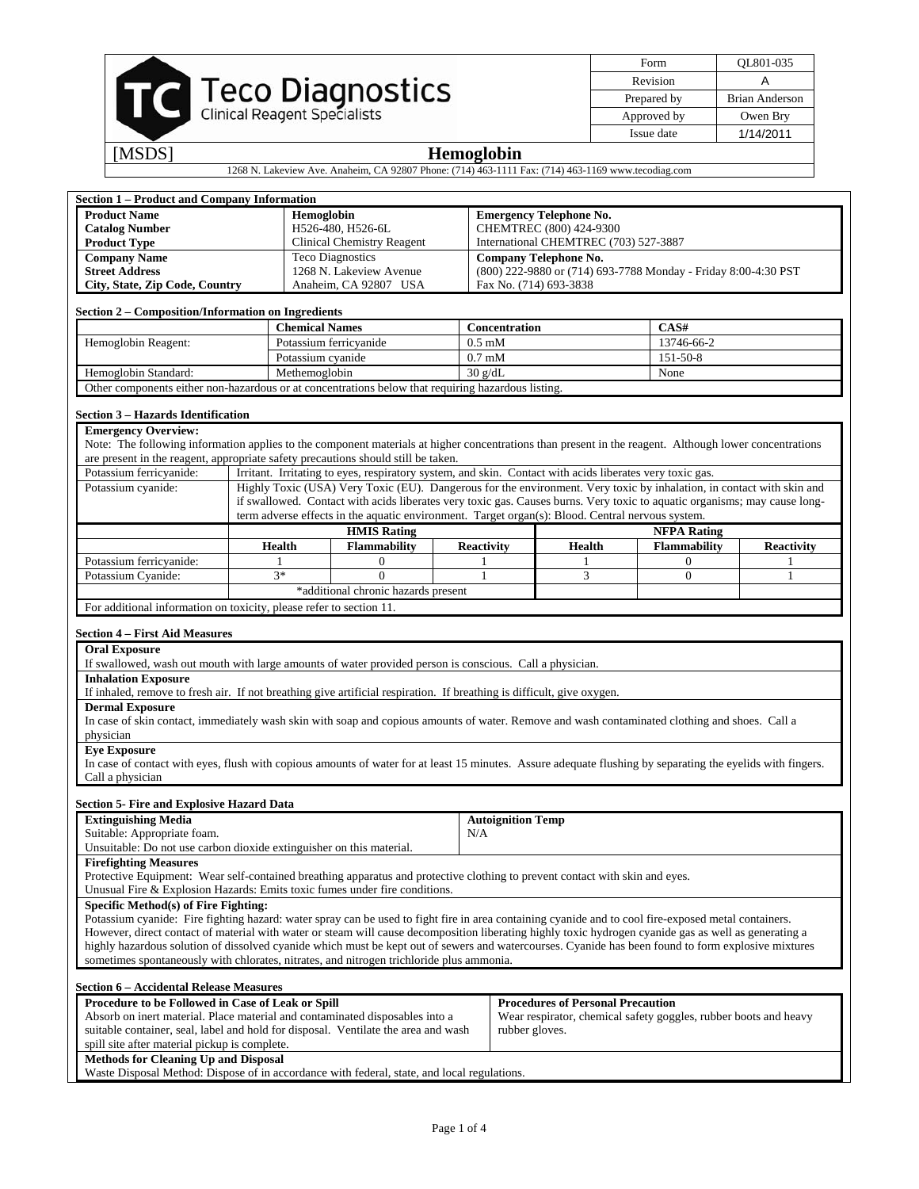|        | <b>Teco Diagnostics</b><br>Clinical Reagent Specialists |
|--------|---------------------------------------------------------|
| [MSDS] | <b>Hemoglobin</b>                                       |

| Form        | QL801-035      |
|-------------|----------------|
| Revision    |                |
| Prepared by | Brian Anderson |
| Approved by | Owen Bry       |
| Issue date  | 1/14/2011      |

1268 N. Lakeview Ave. Anaheim, CA 92807 Phone: (714) 463-1111 Fax: (714) 463-1169 www.tecodiag.com

| <b>Section 1 - Product and Company Information</b>                                                                                                                                                                                          |            |                                   |                                                                                                                           |                                |                                       |                                          |                                                                  |                   |  |
|---------------------------------------------------------------------------------------------------------------------------------------------------------------------------------------------------------------------------------------------|------------|-----------------------------------|---------------------------------------------------------------------------------------------------------------------------|--------------------------------|---------------------------------------|------------------------------------------|------------------------------------------------------------------|-------------------|--|
| <b>Product Name</b>                                                                                                                                                                                                                         | Hemoglobin |                                   |                                                                                                                           | <b>Emergency Telephone No.</b> |                                       |                                          |                                                                  |                   |  |
| <b>Catalog Number</b>                                                                                                                                                                                                                       |            |                                   | H526-480, H526-6L                                                                                                         |                                |                                       | CHEMTREC (800) 424-9300                  |                                                                  |                   |  |
| <b>Product Type</b>                                                                                                                                                                                                                         |            | <b>Clinical Chemistry Reagent</b> |                                                                                                                           |                                | International CHEMTREC (703) 527-3887 |                                          |                                                                  |                   |  |
| <b>Company Name</b>                                                                                                                                                                                                                         |            |                                   | <b>Teco Diagnostics</b>                                                                                                   |                                |                                       | <b>Company Telephone No.</b>             |                                                                  |                   |  |
| <b>Street Address</b>                                                                                                                                                                                                                       |            |                                   | 1268 N. Lakeview Avenue                                                                                                   |                                |                                       |                                          | (800) 222-9880 or (714) 693-7788 Monday - Friday 8:00-4:30 PST   |                   |  |
| City, State, Zip Code, Country                                                                                                                                                                                                              |            |                                   | Anaheim, CA 92807 USA                                                                                                     |                                |                                       | Fax No. (714) 693-3838                   |                                                                  |                   |  |
| Section 2 - Composition/Information on Ingredients                                                                                                                                                                                          |            |                                   |                                                                                                                           |                                |                                       |                                          |                                                                  |                   |  |
|                                                                                                                                                                                                                                             |            |                                   | <b>Chemical Names</b>                                                                                                     |                                |                                       | Concentration                            | CAS#                                                             |                   |  |
| Hemoglobin Reagent:                                                                                                                                                                                                                         |            |                                   | Potassium ferricyanide                                                                                                    |                                | $0.5 \text{ }\mathrm{mM}$             | 13746-66-2                               |                                                                  |                   |  |
|                                                                                                                                                                                                                                             |            | Potassium cyanide                 |                                                                                                                           |                                | $0.7 \text{ }\mathrm{mM}$             |                                          | 151-50-8                                                         |                   |  |
| Hemoglobin Standard:                                                                                                                                                                                                                        |            | Methemoglobin                     |                                                                                                                           |                                | 30 g/dL                               |                                          | None                                                             |                   |  |
| Other components either non-hazardous or at concentrations below that requiring hazardous listing.                                                                                                                                          |            |                                   |                                                                                                                           |                                |                                       |                                          |                                                                  |                   |  |
| Section 3 - Hazards Identification                                                                                                                                                                                                          |            |                                   |                                                                                                                           |                                |                                       |                                          |                                                                  |                   |  |
| <b>Emergency Overview:</b>                                                                                                                                                                                                                  |            |                                   |                                                                                                                           |                                |                                       |                                          |                                                                  |                   |  |
| Note: The following information applies to the component materials at higher concentrations than present in the reagent. Although lower concentrations<br>are present in the reagent, appropriate safety precautions should still be taken. |            |                                   |                                                                                                                           |                                |                                       |                                          |                                                                  |                   |  |
| Potassium ferricyanide:                                                                                                                                                                                                                     |            |                                   | Irritant. Irritating to eyes, respiratory system, and skin. Contact with acids liberates very toxic gas.                  |                                |                                       |                                          |                                                                  |                   |  |
| Potassium cyanide:                                                                                                                                                                                                                          |            |                                   | Highly Toxic (USA) Very Toxic (EU). Dangerous for the environment. Very toxic by inhalation, in contact with skin and     |                                |                                       |                                          |                                                                  |                   |  |
|                                                                                                                                                                                                                                             |            |                                   | if swallowed. Contact with acids liberates very toxic gas. Causes burns. Very toxic to aquatic organisms; may cause long- |                                |                                       |                                          |                                                                  |                   |  |
|                                                                                                                                                                                                                                             |            |                                   | term adverse effects in the aquatic environment. Target organ(s): Blood. Central nervous system.                          |                                |                                       |                                          |                                                                  |                   |  |
|                                                                                                                                                                                                                                             |            |                                   | <b>HMIS Rating</b>                                                                                                        |                                |                                       |                                          | <b>NFPA Rating</b>                                               |                   |  |
|                                                                                                                                                                                                                                             |            | <b>Health</b>                     | <b>Flammability</b>                                                                                                       |                                | <b>Reactivity</b>                     | Health                                   | <b>Flammability</b>                                              | <b>Reactivity</b> |  |
| Potassium ferricyanide:                                                                                                                                                                                                                     |            | 1                                 | $\overline{0}$                                                                                                            |                                | $\mathbf{1}$                          | 1                                        | $\overline{0}$                                                   | 1                 |  |
| Potassium Cyanide:                                                                                                                                                                                                                          |            | $3*$                              | $\mathbf{0}$                                                                                                              |                                | 1                                     | 3                                        | $\mathbf{0}$                                                     | 1                 |  |
|                                                                                                                                                                                                                                             |            |                                   | *additional chronic hazards present                                                                                       |                                |                                       |                                          |                                                                  |                   |  |
| For additional information on toxicity, please refer to section 11.                                                                                                                                                                         |            |                                   |                                                                                                                           |                                |                                       |                                          |                                                                  |                   |  |
| <b>Section 4 – First Aid Measures</b>                                                                                                                                                                                                       |            |                                   |                                                                                                                           |                                |                                       |                                          |                                                                  |                   |  |
| <b>Oral Exposure</b>                                                                                                                                                                                                                        |            |                                   |                                                                                                                           |                                |                                       |                                          |                                                                  |                   |  |
| If swallowed, wash out mouth with large amounts of water provided person is conscious. Call a physician.                                                                                                                                    |            |                                   |                                                                                                                           |                                |                                       |                                          |                                                                  |                   |  |
| <b>Inhalation Exposure</b>                                                                                                                                                                                                                  |            |                                   |                                                                                                                           |                                |                                       |                                          |                                                                  |                   |  |
| If inhaled, remove to fresh air. If not breathing give artificial respiration. If breathing is difficult, give oxygen.                                                                                                                      |            |                                   |                                                                                                                           |                                |                                       |                                          |                                                                  |                   |  |
| <b>Dermal Exposure</b>                                                                                                                                                                                                                      |            |                                   |                                                                                                                           |                                |                                       |                                          |                                                                  |                   |  |
| In case of skin contact, immediately wash skin with soap and copious amounts of water. Remove and wash contaminated clothing and shoes. Call a                                                                                              |            |                                   |                                                                                                                           |                                |                                       |                                          |                                                                  |                   |  |
| physician                                                                                                                                                                                                                                   |            |                                   |                                                                                                                           |                                |                                       |                                          |                                                                  |                   |  |
| <b>Eve Exposure</b>                                                                                                                                                                                                                         |            |                                   |                                                                                                                           |                                |                                       |                                          |                                                                  |                   |  |
| In case of contact with eyes, flush with copious amounts of water for at least 15 minutes. Assure adequate flushing by separating the eyelids with fingers.                                                                                 |            |                                   |                                                                                                                           |                                |                                       |                                          |                                                                  |                   |  |
| Call a physician                                                                                                                                                                                                                            |            |                                   |                                                                                                                           |                                |                                       |                                          |                                                                  |                   |  |
| <b>Section 5- Fire and Explosive Hazard Data</b>                                                                                                                                                                                            |            |                                   |                                                                                                                           |                                |                                       |                                          |                                                                  |                   |  |
| <b>Extinguishing Media</b>                                                                                                                                                                                                                  |            |                                   |                                                                                                                           |                                | <b>Autoignition Temp</b>              |                                          |                                                                  |                   |  |
| Suitable: Appropriate foam.                                                                                                                                                                                                                 |            |                                   |                                                                                                                           |                                | N/A                                   |                                          |                                                                  |                   |  |
| Unsuitable: Do not use carbon dioxide extinguisher on this material.                                                                                                                                                                        |            |                                   |                                                                                                                           |                                |                                       |                                          |                                                                  |                   |  |
| <b>Firefighting Measures</b>                                                                                                                                                                                                                |            |                                   |                                                                                                                           |                                |                                       |                                          |                                                                  |                   |  |
| Protective Equipment: Wear self-contained breathing apparatus and protective clothing to prevent contact with skin and eyes.<br>Unusual Fire & Explosion Hazards: Emits toxic fumes under fire conditions.                                  |            |                                   |                                                                                                                           |                                |                                       |                                          |                                                                  |                   |  |
| Specific Method(s) of Fire Fighting:                                                                                                                                                                                                        |            |                                   |                                                                                                                           |                                |                                       |                                          |                                                                  |                   |  |
| Potassium cyanide: Fire fighting hazard: water spray can be used to fight fire in area containing cyanide and to cool fire-exposed metal containers.                                                                                        |            |                                   |                                                                                                                           |                                |                                       |                                          |                                                                  |                   |  |
| However, direct contact of material with water or steam will cause decomposition liberating highly toxic hydrogen cyanide gas as well as generating a                                                                                       |            |                                   |                                                                                                                           |                                |                                       |                                          |                                                                  |                   |  |
| highly hazardous solution of dissolved cyanide which must be kept out of sewers and watercourses. Cyanide has been found to form explosive mixtures                                                                                         |            |                                   |                                                                                                                           |                                |                                       |                                          |                                                                  |                   |  |
| sometimes spontaneously with chlorates, nitrates, and nitrogen trichloride plus ammonia.                                                                                                                                                    |            |                                   |                                                                                                                           |                                |                                       |                                          |                                                                  |                   |  |
| <b>Section 6 - Accidental Release Measures</b>                                                                                                                                                                                              |            |                                   |                                                                                                                           |                                |                                       |                                          |                                                                  |                   |  |
| Procedure to be Followed in Case of Leak or Spill                                                                                                                                                                                           |            |                                   |                                                                                                                           |                                |                                       | <b>Procedures of Personal Precaution</b> |                                                                  |                   |  |
| Absorb on inert material. Place material and contaminated disposables into a                                                                                                                                                                |            |                                   |                                                                                                                           |                                |                                       |                                          | Wear respirator, chemical safety goggles, rubber boots and heavy |                   |  |
| suitable container, seal, label and hold for disposal. Ventilate the area and wash                                                                                                                                                          |            |                                   |                                                                                                                           |                                | rubber gloves.                        |                                          |                                                                  |                   |  |
| spill site after material pickup is complete.                                                                                                                                                                                               |            |                                   |                                                                                                                           |                                |                                       |                                          |                                                                  |                   |  |
| <b>Methods for Cleaning Up and Disposal</b>                                                                                                                                                                                                 |            |                                   |                                                                                                                           |                                |                                       |                                          |                                                                  |                   |  |
| Waste Disposal Method: Dispose of in accordance with federal, state, and local regulations.                                                                                                                                                 |            |                                   |                                                                                                                           |                                |                                       |                                          |                                                                  |                   |  |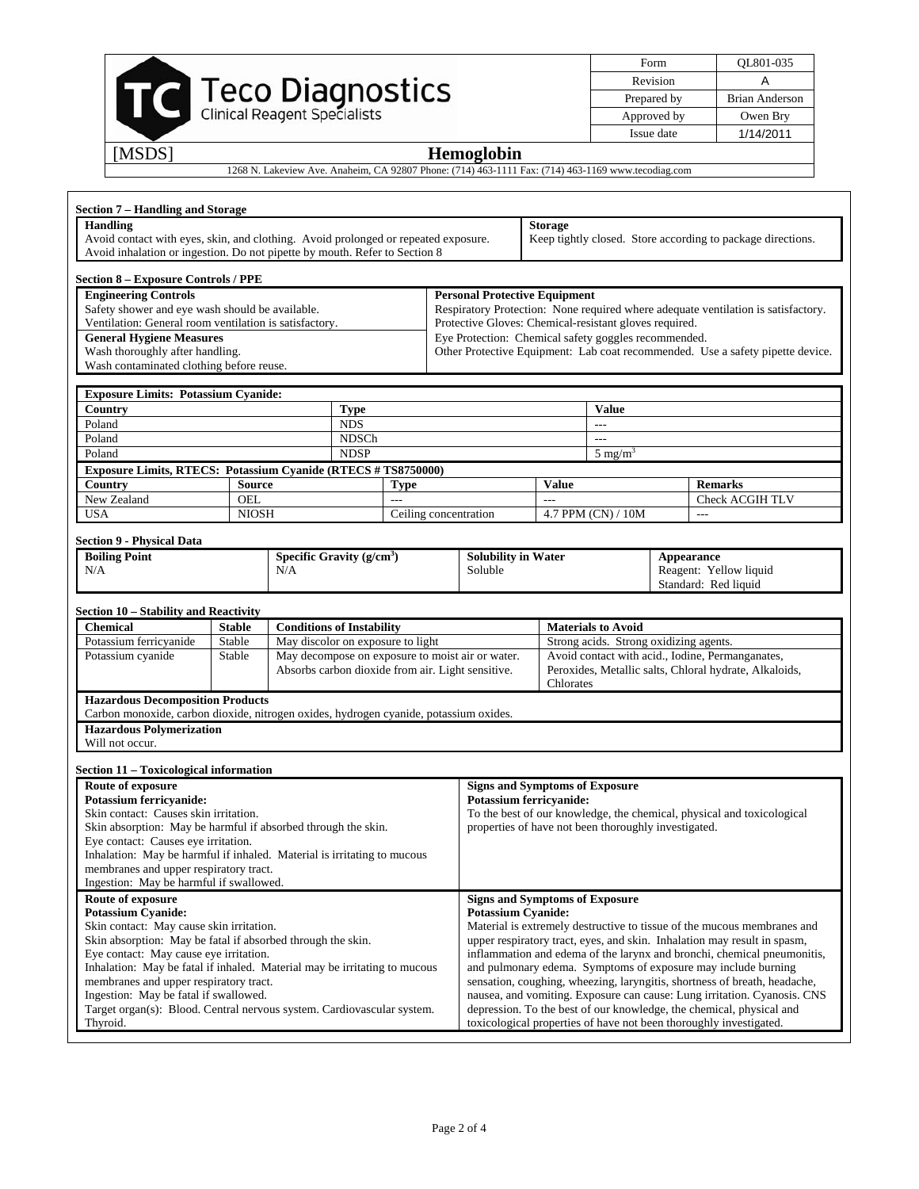|        |                                                                                                    | Form<br>Revision |
|--------|----------------------------------------------------------------------------------------------------|------------------|
|        | <b>Teco Diagnostics</b><br>Clinical Reagent Specialists                                            | Prepared by      |
|        |                                                                                                    | Approved by      |
|        |                                                                                                    | Issue date       |
| [MSDS] | <b>Hemoglobin</b>                                                                                  |                  |
|        | 1268 N. Lakeview Ave. Anaheim, CA 92807 Phone: (714) 463-1111 Fax: (714) 463-1169 www.tecodiag.com |                  |

| Form        | OL801-035      |
|-------------|----------------|
| Revision    |                |
| Prepared by | Brian Anderson |
| Approved by | Owen Bry       |
| Issue date  | 1/14/2011      |

## **Section 7 – Handling and Storage Handling**  Avoid contact with eyes, skin, and clothing. Avoid prolonged or repeated exposure. Avoid inhalation or ingestion. Do not pipette by mouth. Refer to Section 8 **Storage**  Keep tightly closed. Store according to package directions. **Section 8 – Exposure Controls / PPE Engineering Controls**  Safety shower and eye wash should be available. Ventilation: General room ventilation is satisfactory. **Personal Protective Equipment**  Respiratory Protection: None required where adequate ventilation is satisfactory. Protective Gloves: Chemical-resistant gloves required. **General Hygiene Measures**  Wash thoroughly after handling. Wash contaminated clothing before reuse. Eye Protection: Chemical safety goggles recommended. Other Protective Equipment: Lab coat recommended. Use a safety pipette device. **Exposure Limits: Potassium Cyanide:** Country **Country Country Country Country Country Country Property Country Country Country Country Country Country Country Country Country Country Country Country Country Country Country Country Country Country Country Coun** Poland and the contract of the NDS and the contract of the contract of the contract of the contract of the contract of the contract of the contract of the contract of the contract of the contract of the contract of the con Poland and the contract of the NDSCh the contract of the contract of the contract of the contract of the contract of the contract of the contract of the contract of the contract of the contract of the contract of the contr Poland  $N$ DSP 5 mg/m<sup>3</sup> **Exposure Limits, RTECS: Potassium Cyanide (RTECS # TS8750000)**  Country Source **Type Value Remarks** Remarks New Zealand OEL --- Check ACGIH TLV<br>USA NIOSH Ceiling concentration 4.7 PPM (CN) / 10M ---USA NIOSH Ceiling concentration **Section 9 - Physical Data Boiling Point**  N/A Specific Gravity (g/cm<sup>3</sup>) N/A **Solubility in Water**  Soluble **Appearance**  Reagent: Yellow liquid Standard: Red liquid **Section 10 – Stability and Reactivity**  Chemical Stable Conditions of Instability Materials to Avoid Potassium ferricyanide Stable May discolor on exposure to light Strong acids. Strong oxidizing agents. Potassium cyanide Stable May decompose on exposure to moist air or water. Absorbs carbon dioxide from air. Light sensitive. Avoid contact with acid., Iodine, Permanganates, Peroxides, Metallic salts, Chloral hydrate, Alkaloids, Chlorates **Hazardous Decomposition Products**  Carbon monoxide, carbon dioxide, nitrogen oxides, hydrogen cyanide, potassium oxides. **Hazardous Polymerization** Will not occur. **Section 11 – Toxicological information Route of exposure Potassium ferricyanide:**  Skin contact: Causes skin irritation. Skin absorption: May be harmful if absorbed through the skin. Eye contact: Causes eye irritation. Inhalation: May be harmful if inhaled. Material is irritating to mucous membranes and upper respiratory tract. Ingestion: May be harmful if swallowed. **Signs and Symptoms of Exposure Potassium ferricyanide:**  To the best of our knowledge, the chemical, physical and toxicological properties of have not been thoroughly investigated. **Route of exposure Potassium Cyanide:**  Skin contact: May cause skin irritation. Skin absorption: May be fatal if absorbed through the skin. Eye contact: May cause eye irritation. Inhalation: May be fatal if inhaled. Material may be irritating to mucous membranes and upper respiratory tract. Ingestion: May be fatal if swallowed. **Signs and Symptoms of Exposure Potassium Cyanide:**  Material is extremely destructive to tissue of the mucous membranes and upper respiratory tract, eyes, and skin. Inhalation may result in spasm, inflammation and edema of the larynx and bronchi, chemical pneumonitis, and pulmonary edema. Symptoms of exposure may include burning sensation, coughing, wheezing, laryngitis, shortness of breath, headache, nausea, and vomiting. Exposure can cause: Lung irritation. Cyanosis. CNS

depression. To the best of our knowledge, the chemical, physical and toxicological properties of have not been thoroughly investigated.

Target organ(s): Blood. Central nervous system. Cardiovascular system.

Thyroid.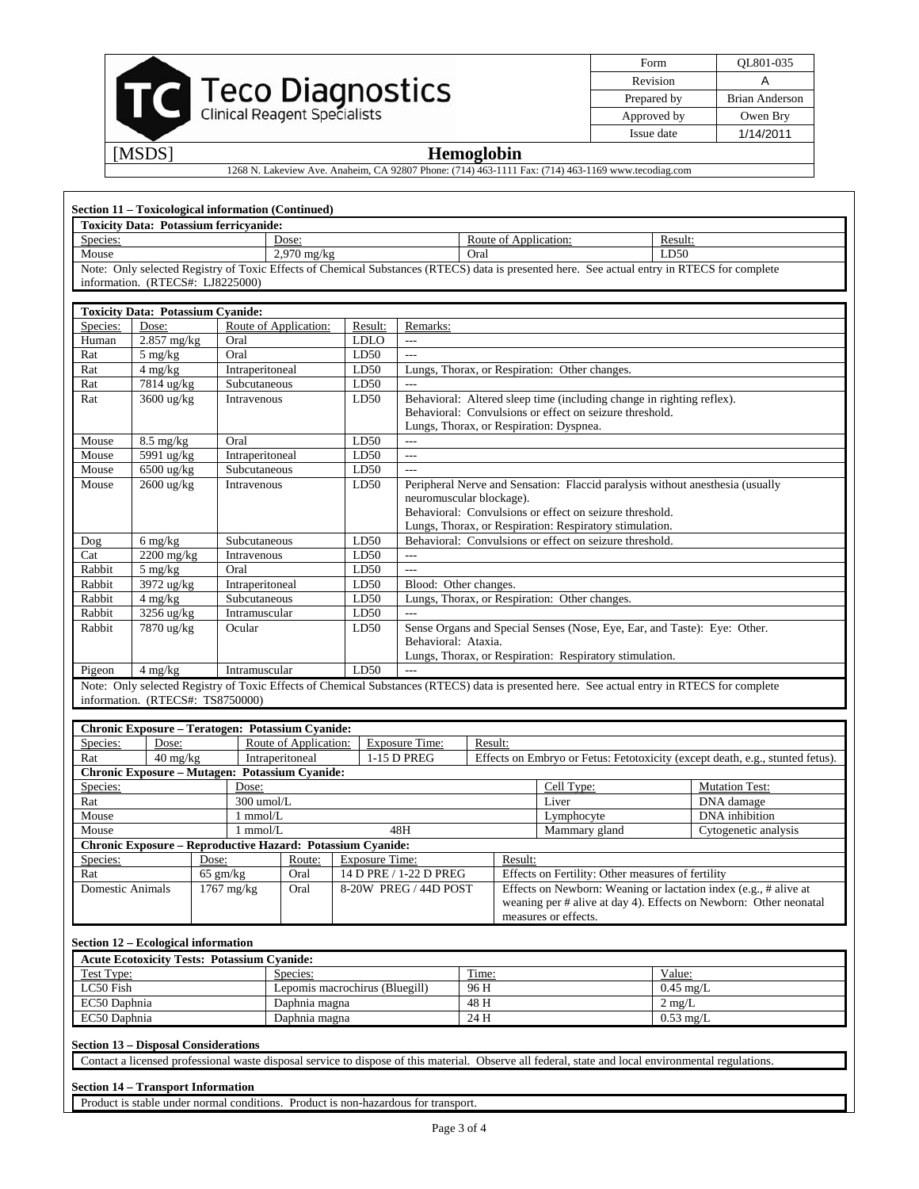| <b>Teco Diagnostics</b><br>Clinical Reagent Specialists |
|---------------------------------------------------------|
|                                                         |

| Form        | QL801-035      |
|-------------|----------------|
| Revision    |                |
| Prepared by | Brian Anderson |
| Approved by | Owen Bry       |
| Issue date  | 1/14/2011      |

## [MSDS] **Hemoglobin**

1268 N. Lakeview Ave. Anaheim, CA 92807 Phone: (714) 463-1111 Fax: (714) 463-1169 www.tecodiag.com

| Species:                                                                                                                                                                |                                                            | <b>Toxicity Data: Potassium ferricyanide:</b> |                                |                       |                                                                                                                                                                                                                                 |                       |                                                                                                                                                     |                                 |                                                                                                                                             |
|-------------------------------------------------------------------------------------------------------------------------------------------------------------------------|------------------------------------------------------------|-----------------------------------------------|--------------------------------|-----------------------|---------------------------------------------------------------------------------------------------------------------------------------------------------------------------------------------------------------------------------|-----------------------|-----------------------------------------------------------------------------------------------------------------------------------------------------|---------------------------------|---------------------------------------------------------------------------------------------------------------------------------------------|
|                                                                                                                                                                         |                                                            |                                               | Dose:                          |                       |                                                                                                                                                                                                                                 | Route of Application: |                                                                                                                                                     | Result:                         |                                                                                                                                             |
| Mouse                                                                                                                                                                   |                                                            |                                               | $2,970$ mg/kg                  |                       |                                                                                                                                                                                                                                 | Oral                  |                                                                                                                                                     | LD50                            |                                                                                                                                             |
|                                                                                                                                                                         | information. (RTECS#: LJ8225000)                           |                                               |                                |                       |                                                                                                                                                                                                                                 |                       |                                                                                                                                                     |                                 | Note: Only selected Registry of Toxic Effects of Chemical Substances (RTECS) data is presented here. See actual entry in RTECS for complete |
|                                                                                                                                                                         | <b>Toxicity Data: Potassium Cyanide:</b>                   |                                               |                                |                       |                                                                                                                                                                                                                                 |                       |                                                                                                                                                     |                                 |                                                                                                                                             |
| Species:                                                                                                                                                                | Dose:                                                      |                                               | Route of Application:          | Result:               | Remarks:                                                                                                                                                                                                                        |                       |                                                                                                                                                     |                                 |                                                                                                                                             |
| Human                                                                                                                                                                   | 2.857 mg/kg                                                | Oral<br>Oral                                  |                                | <b>LDLO</b><br>LD50   | $\overline{a}$<br>$\overline{a}$                                                                                                                                                                                                |                       |                                                                                                                                                     |                                 |                                                                                                                                             |
| Rat<br>Rat                                                                                                                                                              | 5 mg/kg<br>$4 \text{ me/kg}$                               | Intraperitoneal                               |                                | LD50                  |                                                                                                                                                                                                                                 |                       | Lungs, Thorax, or Respiration: Other changes.                                                                                                       |                                 |                                                                                                                                             |
| Rat                                                                                                                                                                     | 7814 ug/kg                                                 | Subcutaneous                                  |                                | LD50                  | $\sim$                                                                                                                                                                                                                          |                       |                                                                                                                                                     |                                 |                                                                                                                                             |
| Rat                                                                                                                                                                     | 3600 ug/kg<br>Intravenous                                  |                                               |                                | LD50                  | Behavioral: Altered sleep time (including change in righting reflex).<br>Behavioral: Convulsions or effect on seizure threshold.<br>Lungs, Thorax, or Respiration: Dyspnea.                                                     |                       |                                                                                                                                                     |                                 |                                                                                                                                             |
| Mouse                                                                                                                                                                   | $8.5 \text{ mg/kg}$                                        | Oral                                          |                                | LD50                  | $\overline{a}$                                                                                                                                                                                                                  |                       |                                                                                                                                                     |                                 |                                                                                                                                             |
| Mouse                                                                                                                                                                   | 5991 ug/kg                                                 | Intraperitoneal                               |                                | LD50                  | $\overline{a}$                                                                                                                                                                                                                  |                       |                                                                                                                                                     |                                 |                                                                                                                                             |
| Mouse                                                                                                                                                                   | 6500 ug/kg                                                 | Subcutaneous                                  |                                | LD50                  | $\overline{a}$                                                                                                                                                                                                                  |                       |                                                                                                                                                     |                                 |                                                                                                                                             |
| Mouse                                                                                                                                                                   | 2600 ug/kg<br>Intravenous                                  |                                               |                                | LD50                  | Peripheral Nerve and Sensation: Flaccid paralysis without anesthesia (usually<br>neuromuscular blockage).<br>Behavioral: Convulsions or effect on seizure threshold.<br>Lungs, Thorax, or Respiration: Respiratory stimulation. |                       |                                                                                                                                                     |                                 |                                                                                                                                             |
| Dog                                                                                                                                                                     | 6 mg/kg                                                    | Subcutaneous                                  |                                | LD50                  |                                                                                                                                                                                                                                 |                       | Behavioral: Convulsions or effect on seizure threshold.                                                                                             |                                 |                                                                                                                                             |
| Cat                                                                                                                                                                     | 2200 mg/kg                                                 | Intravenous                                   |                                | LD50                  | $---$                                                                                                                                                                                                                           |                       |                                                                                                                                                     |                                 |                                                                                                                                             |
| Rabbit                                                                                                                                                                  | $5 \text{ mg/kg}$                                          | Oral                                          |                                | LD50                  |                                                                                                                                                                                                                                 |                       |                                                                                                                                                     |                                 |                                                                                                                                             |
| Rabbit                                                                                                                                                                  | 3972 ug/kg                                                 | Intraperitoneal                               |                                | LD50                  | Blood: Other changes.                                                                                                                                                                                                           |                       |                                                                                                                                                     |                                 |                                                                                                                                             |
| Rabbit                                                                                                                                                                  | $4$ mg/kg                                                  | Subcutaneous                                  |                                | LD50                  |                                                                                                                                                                                                                                 |                       | Lungs, Thorax, or Respiration: Other changes.                                                                                                       |                                 |                                                                                                                                             |
| Rabbit                                                                                                                                                                  | 3256 ug/kg                                                 | Intramuscular                                 |                                | LD50                  | $---$                                                                                                                                                                                                                           |                       |                                                                                                                                                     |                                 |                                                                                                                                             |
| Rabbit                                                                                                                                                                  | 7870 ug/kg<br>Ocular                                       |                                               |                                |                       | Sense Organs and Special Senses (Nose, Eye, Ear, and Taste): Eye: Other.<br>LD50<br>Behavioral: Ataxia.<br>Lungs, Thorax, or Respiration: Respiratory stimulation.                                                              |                       |                                                                                                                                                     |                                 |                                                                                                                                             |
|                                                                                                                                                                         |                                                            |                                               |                                |                       |                                                                                                                                                                                                                                 |                       |                                                                                                                                                     |                                 |                                                                                                                                             |
|                                                                                                                                                                         | $4$ mg/kg                                                  | Intramuscular                                 |                                | LD50                  | $\overline{a}$                                                                                                                                                                                                                  |                       |                                                                                                                                                     |                                 |                                                                                                                                             |
|                                                                                                                                                                         | information. (RTECS#: TS8750000)                           |                                               |                                |                       |                                                                                                                                                                                                                                 |                       |                                                                                                                                                     |                                 | Note: Only selected Registry of Toxic Effects of Chemical Substances (RTECS) data is presented here. See actual entry in RTECS for complete |
|                                                                                                                                                                         | Chronic Exposure - Teratogen: Potassium Cyanide:           |                                               |                                |                       |                                                                                                                                                                                                                                 |                       |                                                                                                                                                     |                                 |                                                                                                                                             |
|                                                                                                                                                                         | Dose:                                                      |                                               | Route of Application:          |                       | <b>Exposure Time:</b>                                                                                                                                                                                                           | Result:               |                                                                                                                                                     |                                 |                                                                                                                                             |
|                                                                                                                                                                         | $40 \text{ mg/kg}$                                         |                                               | Intraperitoneal                |                       | 1-15 D PREG                                                                                                                                                                                                                     |                       |                                                                                                                                                     |                                 | Effects on Embryo or Fetus: Fetotoxicity (except death, e.g., stunted fetus).                                                               |
|                                                                                                                                                                         | Chronic Exposure - Mutagen: Potassium Cyanide:             |                                               |                                |                       |                                                                                                                                                                                                                                 |                       |                                                                                                                                                     |                                 |                                                                                                                                             |
|                                                                                                                                                                         |                                                            | Dose:                                         |                                |                       |                                                                                                                                                                                                                                 |                       | Cell Type:                                                                                                                                          |                                 | <b>Mutation Test:</b>                                                                                                                       |
|                                                                                                                                                                         |                                                            | 300 umol/L                                    |                                |                       |                                                                                                                                                                                                                                 |                       | Liver                                                                                                                                               |                                 | DNA damage                                                                                                                                  |
|                                                                                                                                                                         |                                                            | $1$ mmol/ $L$<br>$1$ mmol/ $L$                |                                |                       | 48H                                                                                                                                                                                                                             |                       | Lymphocyte                                                                                                                                          |                                 | DNA inhibition                                                                                                                              |
|                                                                                                                                                                         |                                                            |                                               |                                |                       |                                                                                                                                                                                                                                 |                       | Mammary gland                                                                                                                                       |                                 | Cytogenetic analysis                                                                                                                        |
|                                                                                                                                                                         | Chronic Exposure - Reproductive Hazard: Potassium Cyanide: | Dose:                                         | Route:                         | <b>Exposure Time:</b> |                                                                                                                                                                                                                                 | Result:               |                                                                                                                                                     |                                 |                                                                                                                                             |
|                                                                                                                                                                         |                                                            | $65$ gm/kg                                    | Oral                           |                       | 14 D PRE / 1-22 D PREG                                                                                                                                                                                                          |                       | Effects on Fertility: Other measures of fertility                                                                                                   |                                 |                                                                                                                                             |
|                                                                                                                                                                         |                                                            | $1767$ mg/kg                                  | Oral                           |                       | 8-20W PREG / 44D POST                                                                                                                                                                                                           |                       | measures or effects.                                                                                                                                |                                 | Effects on Newborn: Weaning or lactation index (e.g., # alive at<br>weaning per # alive at day 4). Effects on Newborn: Other neonatal       |
|                                                                                                                                                                         |                                                            |                                               |                                |                       |                                                                                                                                                                                                                                 |                       |                                                                                                                                                     |                                 |                                                                                                                                             |
|                                                                                                                                                                         | Section 12 - Ecological information                        |                                               |                                |                       |                                                                                                                                                                                                                                 |                       |                                                                                                                                                     |                                 |                                                                                                                                             |
|                                                                                                                                                                         | <b>Acute Ecotoxicity Tests: Potassium Cyanide:</b>         |                                               |                                |                       |                                                                                                                                                                                                                                 |                       |                                                                                                                                                     |                                 |                                                                                                                                             |
|                                                                                                                                                                         |                                                            |                                               | Species:                       |                       |                                                                                                                                                                                                                                 | Time:                 |                                                                                                                                                     | Value:                          |                                                                                                                                             |
|                                                                                                                                                                         |                                                            |                                               | Lepomis macrochirus (Bluegill) |                       |                                                                                                                                                                                                                                 | 96 H                  |                                                                                                                                                     | $0.45$ mg/L                     |                                                                                                                                             |
|                                                                                                                                                                         |                                                            |                                               | Daphnia magna<br>Daphnia magna |                       |                                                                                                                                                                                                                                 | 48 H<br>24 H          |                                                                                                                                                     | $2 \text{ mg/L}$<br>$0.53$ mg/L |                                                                                                                                             |
| Pigeon<br>Species:<br>Rat<br>Species:<br>Rat<br>Mouse<br>Mouse<br>Species:<br>Rat<br><b>Domestic Animals</b><br>Test Type:<br>LC50 Fish<br>EC50 Daphnia<br>EC50 Daphnia | <b>Section 13 - Disposal Considerations</b>                |                                               |                                |                       |                                                                                                                                                                                                                                 |                       |                                                                                                                                                     |                                 |                                                                                                                                             |
|                                                                                                                                                                         |                                                            |                                               |                                |                       |                                                                                                                                                                                                                                 |                       | Contact a licensed professional waste disposal service to dispose of this material. Observe all federal, state and local environmental regulations. |                                 |                                                                                                                                             |